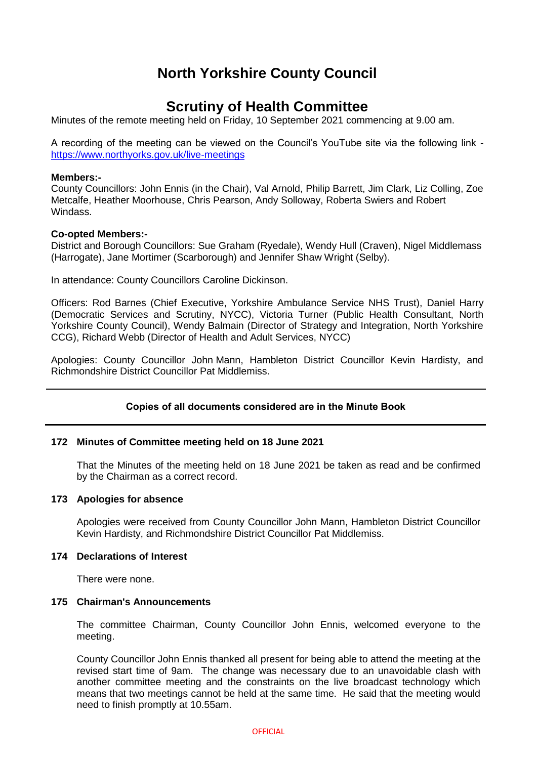# **North Yorkshire County Council**

# **Scrutiny of Health Committee**

Minutes of the remote meeting held on Friday, 10 September 2021 commencing at 9.00 am.

A recording of the meeting can be viewed on the Council's YouTube site via the following link <https://www.northyorks.gov.uk/live-meetings>

## **Members:-**

County Councillors: John Ennis (in the Chair), Val Arnold, Philip Barrett, Jim Clark, Liz Colling, Zoe Metcalfe, Heather Moorhouse, Chris Pearson, Andy Solloway, Roberta Swiers and Robert Windass.

## **Co-opted Members:-**

District and Borough Councillors: Sue Graham (Ryedale), Wendy Hull (Craven), Nigel Middlemass (Harrogate), Jane Mortimer (Scarborough) and Jennifer Shaw Wright (Selby).

In attendance: County Councillors Caroline Dickinson.

Officers: Rod Barnes (Chief Executive, Yorkshire Ambulance Service NHS Trust), Daniel Harry (Democratic Services and Scrutiny, NYCC), Victoria Turner (Public Health Consultant, North Yorkshire County Council), Wendy Balmain (Director of Strategy and Integration, North Yorkshire CCG), Richard Webb (Director of Health and Adult Services, NYCC)

Apologies: County Councillor John Mann, Hambleton District Councillor Kevin Hardisty, and Richmondshire District Councillor Pat Middlemiss.

## **Copies of all documents considered are in the Minute Book**

## **172 Minutes of Committee meeting held on 18 June 2021**

That the Minutes of the meeting held on 18 June 2021 be taken as read and be confirmed by the Chairman as a correct record.

#### **173 Apologies for absence**

Apologies were received from County Councillor John Mann, Hambleton District Councillor Kevin Hardisty, and Richmondshire District Councillor Pat Middlemiss.

#### **174 Declarations of Interest**

There were none.

## **175 Chairman's Announcements**

The committee Chairman, County Councillor John Ennis, welcomed everyone to the meeting.

County Councillor John Ennis thanked all present for being able to attend the meeting at the revised start time of 9am. The change was necessary due to an unavoidable clash with another committee meeting and the constraints on the live broadcast technology which means that two meetings cannot be held at the same time. He said that the meeting would need to finish promptly at 10.55am.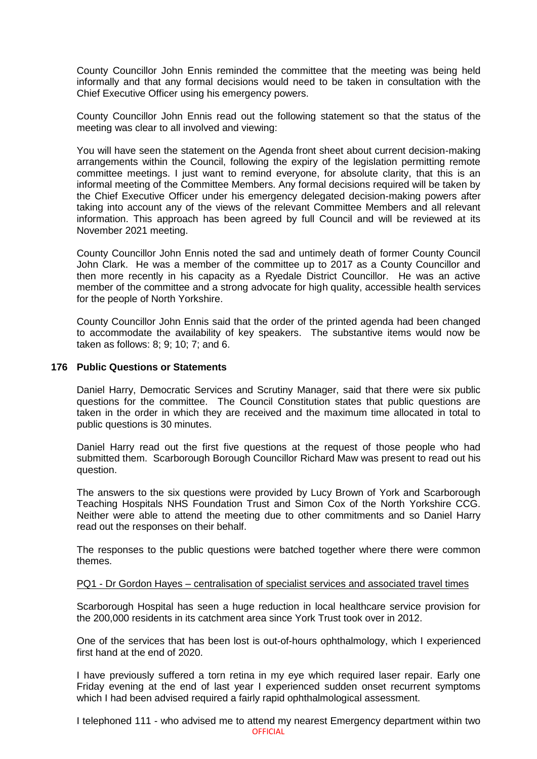County Councillor John Ennis reminded the committee that the meeting was being held informally and that any formal decisions would need to be taken in consultation with the Chief Executive Officer using his emergency powers.

County Councillor John Ennis read out the following statement so that the status of the meeting was clear to all involved and viewing:

You will have seen the statement on the Agenda front sheet about current decision-making arrangements within the Council, following the expiry of the legislation permitting remote committee meetings. I just want to remind everyone, for absolute clarity, that this is an informal meeting of the Committee Members. Any formal decisions required will be taken by the Chief Executive Officer under his emergency delegated decision-making powers after taking into account any of the views of the relevant Committee Members and all relevant information. This approach has been agreed by full Council and will be reviewed at its November 2021 meeting.

County Councillor John Ennis noted the sad and untimely death of former County Council John Clark. He was a member of the committee up to 2017 as a County Councillor and then more recently in his capacity as a Ryedale District Councillor. He was an active member of the committee and a strong advocate for high quality, accessible health services for the people of North Yorkshire.

County Councillor John Ennis said that the order of the printed agenda had been changed to accommodate the availability of key speakers. The substantive items would now be taken as follows: 8; 9; 10; 7; and 6.

## **176 Public Questions or Statements**

Daniel Harry, Democratic Services and Scrutiny Manager, said that there were six public questions for the committee. The Council Constitution states that public questions are taken in the order in which they are received and the maximum time allocated in total to public questions is 30 minutes.

Daniel Harry read out the first five questions at the request of those people who had submitted them. Scarborough Borough Councillor Richard Maw was present to read out his question.

The answers to the six questions were provided by Lucy Brown of York and Scarborough Teaching Hospitals NHS Foundation Trust and Simon Cox of the North Yorkshire CCG. Neither were able to attend the meeting due to other commitments and so Daniel Harry read out the responses on their behalf.

The responses to the public questions were batched together where there were common themes.

#### PQ1 - Dr Gordon Hayes – centralisation of specialist services and associated travel times

Scarborough Hospital has seen a huge reduction in local healthcare service provision for the 200,000 residents in its catchment area since York Trust took over in 2012.

One of the services that has been lost is out-of-hours ophthalmology, which I experienced first hand at the end of 2020.

I have previously suffered a torn retina in my eye which required laser repair. Early one Friday evening at the end of last year I experienced sudden onset recurrent symptoms which I had been advised required a fairly rapid ophthalmological assessment.

OFFICIAL I telephoned 111 - who advised me to attend my nearest Emergency department within two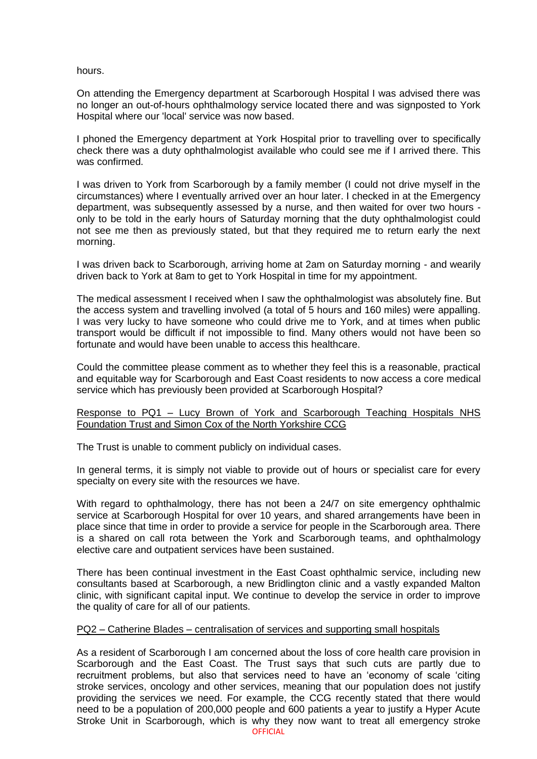hours.

On attending the Emergency department at Scarborough Hospital I was advised there was no longer an out-of-hours ophthalmology service located there and was signposted to York Hospital where our 'local' service was now based.

I phoned the Emergency department at York Hospital prior to travelling over to specifically check there was a duty ophthalmologist available who could see me if I arrived there. This was confirmed.

I was driven to York from Scarborough by a family member (I could not drive myself in the circumstances) where I eventually arrived over an hour later. I checked in at the Emergency department, was subsequently assessed by a nurse, and then waited for over two hours only to be told in the early hours of Saturday morning that the duty ophthalmologist could not see me then as previously stated, but that they required me to return early the next morning.

I was driven back to Scarborough, arriving home at 2am on Saturday morning - and wearily driven back to York at 8am to get to York Hospital in time for my appointment.

The medical assessment I received when I saw the ophthalmologist was absolutely fine. But the access system and travelling involved (a total of 5 hours and 160 miles) were appalling. I was very lucky to have someone who could drive me to York, and at times when public transport would be difficult if not impossible to find. Many others would not have been so fortunate and would have been unable to access this healthcare.

Could the committee please comment as to whether they feel this is a reasonable, practical and equitable way for Scarborough and East Coast residents to now access a core medical service which has previously been provided at Scarborough Hospital?

## Response to PQ1 – Lucy Brown of York and Scarborough Teaching Hospitals NHS Foundation Trust and Simon Cox of the North Yorkshire CCG

The Trust is unable to comment publicly on individual cases.

In general terms, it is simply not viable to provide out of hours or specialist care for every specialty on every site with the resources we have.

With regard to ophthalmology, there has not been a 24/7 on site emergency ophthalmic service at Scarborough Hospital for over 10 years, and shared arrangements have been in place since that time in order to provide a service for people in the Scarborough area. There is a shared on call rota between the York and Scarborough teams, and ophthalmology elective care and outpatient services have been sustained.

There has been continual investment in the East Coast ophthalmic service, including new consultants based at Scarborough, a new Bridlington clinic and a vastly expanded Malton clinic, with significant capital input. We continue to develop the service in order to improve the quality of care for all of our patients.

## PQ2 – Catherine Blades – centralisation of services and supporting small hospitals

As a resident of Scarborough I am concerned about the loss of core health care provision in Scarborough and the East Coast. The Trust says that such cuts are partly due to recruitment problems, but also that services need to have an 'economy of scale 'citing stroke services, oncology and other services, meaning that our population does not justify providing the services we need. For example, the CCG recently stated that there would need to be a population of 200,000 people and 600 patients a year to justify a Hyper Acute Stroke Unit in Scarborough, which is why they now want to treat all emergency stroke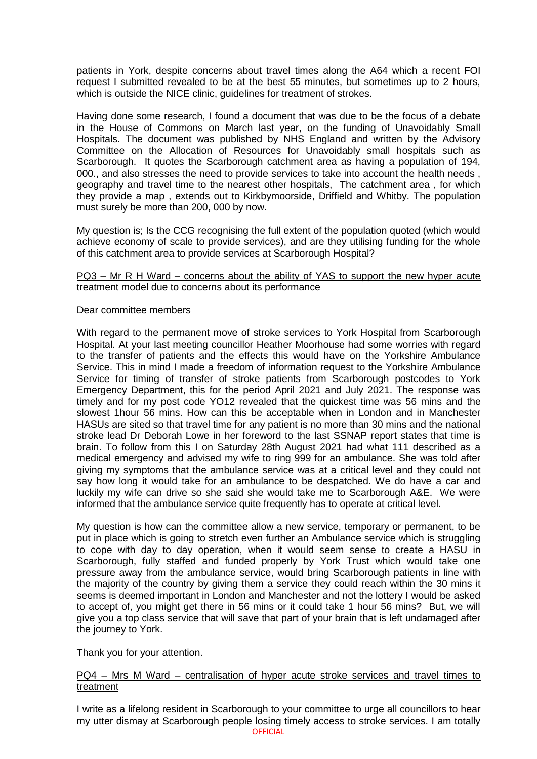patients in York, despite concerns about travel times along the A64 which a recent FOI request I submitted revealed to be at the best 55 minutes, but sometimes up to 2 hours, which is outside the NICE clinic, guidelines for treatment of strokes.

Having done some research, I found a document that was due to be the focus of a debate in the House of Commons on March last year, on the funding of Unavoidably Small Hospitals. The document was published by NHS England and written by the Advisory Committee on the Allocation of Resources for Unavoidably small hospitals such as Scarborough. It quotes the Scarborough catchment area as having a population of 194, 000., and also stresses the need to provide services to take into account the health needs , geography and travel time to the nearest other hospitals, The catchment area , for which they provide a map , extends out to Kirkbymoorside, Driffield and Whitby. The population must surely be more than 200, 000 by now.

My question is; Is the CCG recognising the full extent of the population quoted (which would achieve economy of scale to provide services), and are they utilising funding for the whole of this catchment area to provide services at Scarborough Hospital?

## PQ3 – Mr R H Ward – concerns about the ability of YAS to support the new hyper acute treatment model due to concerns about its performance

## Dear committee members

With regard to the permanent move of stroke services to York Hospital from Scarborough Hospital. At your last meeting councillor Heather Moorhouse had some worries with regard to the transfer of patients and the effects this would have on the Yorkshire Ambulance Service. This in mind I made a freedom of information request to the Yorkshire Ambulance Service for timing of transfer of stroke patients from Scarborough postcodes to York Emergency Department, this for the period April 2021 and July 2021. The response was timely and for my post code YO12 revealed that the quickest time was 56 mins and the slowest 1hour 56 mins. How can this be acceptable when in London and in Manchester HASUs are sited so that travel time for any patient is no more than 30 mins and the national stroke lead Dr Deborah Lowe in her foreword to the last SSNAP report states that time is brain. To follow from this I on Saturday 28th August 2021 had what 111 described as a medical emergency and advised my wife to ring 999 for an ambulance. She was told after giving my symptoms that the ambulance service was at a critical level and they could not say how long it would take for an ambulance to be despatched. We do have a car and luckily my wife can drive so she said she would take me to Scarborough A&E. We were informed that the ambulance service quite frequently has to operate at critical level.

My question is how can the committee allow a new service, temporary or permanent, to be put in place which is going to stretch even further an Ambulance service which is struggling to cope with day to day operation, when it would seem sense to create a HASU in Scarborough, fully staffed and funded properly by York Trust which would take one pressure away from the ambulance service, would bring Scarborough patients in line with the majority of the country by giving them a service they could reach within the 30 mins it seems is deemed important in London and Manchester and not the lottery I would be asked to accept of, you might get there in 56 mins or it could take 1 hour 56 mins? But, we will give you a top class service that will save that part of your brain that is left undamaged after the journey to York.

Thank you for your attention.

## PQ4 – Mrs M Ward – centralisation of hyper acute stroke services and travel times to treatment

OFFICIAL I write as a lifelong resident in Scarborough to your committee to urge all councillors to hear my utter dismay at Scarborough people losing timely access to stroke services. I am totally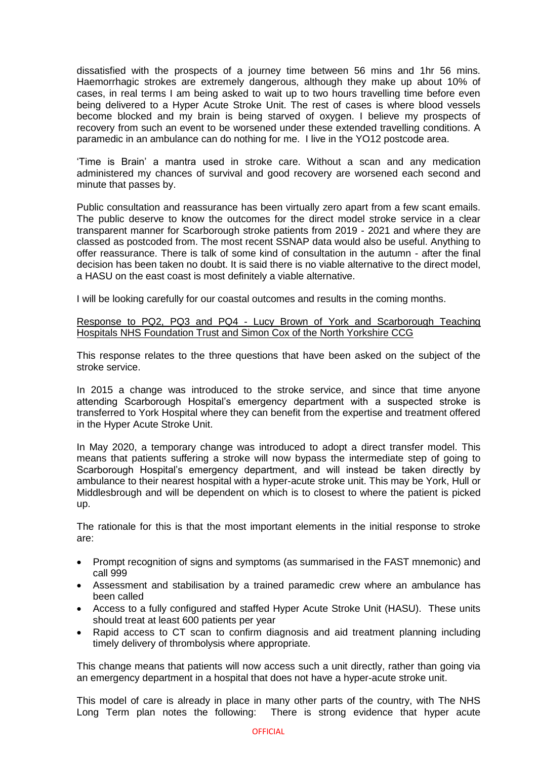dissatisfied with the prospects of a journey time between 56 mins and 1hr 56 mins. Haemorrhagic strokes are extremely dangerous, although they make up about 10% of cases, in real terms I am being asked to wait up to two hours travelling time before even being delivered to a Hyper Acute Stroke Unit. The rest of cases is where blood vessels become blocked and my brain is being starved of oxygen. I believe my prospects of recovery from such an event to be worsened under these extended travelling conditions. A paramedic in an ambulance can do nothing for me. I live in the YO12 postcode area.

'Time is Brain' a mantra used in stroke care. Without a scan and any medication administered my chances of survival and good recovery are worsened each second and minute that passes by.

Public consultation and reassurance has been virtually zero apart from a few scant emails. The public deserve to know the outcomes for the direct model stroke service in a clear transparent manner for Scarborough stroke patients from 2019 - 2021 and where they are classed as postcoded from. The most recent SSNAP data would also be useful. Anything to offer reassurance. There is talk of some kind of consultation in the autumn - after the final decision has been taken no doubt. It is said there is no viable alternative to the direct model, a HASU on the east coast is most definitely a viable alternative.

I will be looking carefully for our coastal outcomes and results in the coming months.

## Response to PQ2, PQ3 and PQ4 - Lucy Brown of York and Scarborough Teaching Hospitals NHS Foundation Trust and Simon Cox of the North Yorkshire CCG

This response relates to the three questions that have been asked on the subject of the stroke service.

In 2015 a change was introduced to the stroke service, and since that time anyone attending Scarborough Hospital's emergency department with a suspected stroke is transferred to York Hospital where they can benefit from the expertise and treatment offered in the Hyper Acute Stroke Unit.

In May 2020, a temporary change was introduced to adopt a direct transfer model. This means that patients suffering a stroke will now bypass the intermediate step of going to Scarborough Hospital's emergency department, and will instead be taken directly by ambulance to their nearest hospital with a hyper-acute stroke unit. This may be York, Hull or Middlesbrough and will be dependent on which is to closest to where the patient is picked up.

The rationale for this is that the most important elements in the initial response to stroke are:

- Prompt recognition of signs and symptoms (as summarised in the FAST mnemonic) and call 999
- Assessment and stabilisation by a trained paramedic crew where an ambulance has been called
- Access to a fully configured and staffed Hyper Acute Stroke Unit (HASU). These units should treat at least 600 patients per year
- Rapid access to CT scan to confirm diagnosis and aid treatment planning including timely delivery of thrombolysis where appropriate.

This change means that patients will now access such a unit directly, rather than going via an emergency department in a hospital that does not have a hyper-acute stroke unit.

This model of care is already in place in many other parts of the country, with The NHS Long Term plan notes the following: There is strong evidence that hyper acute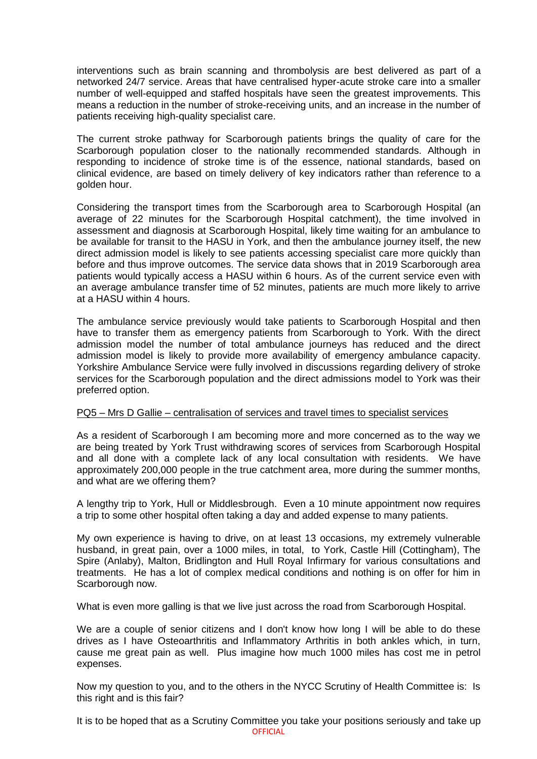interventions such as brain scanning and thrombolysis are best delivered as part of a networked 24/7 service. Areas that have centralised hyper-acute stroke care into a smaller number of well-equipped and staffed hospitals have seen the greatest improvements. This means a reduction in the number of stroke-receiving units, and an increase in the number of patients receiving high-quality specialist care.

The current stroke pathway for Scarborough patients brings the quality of care for the Scarborough population closer to the nationally recommended standards. Although in responding to incidence of stroke time is of the essence, national standards, based on clinical evidence, are based on timely delivery of key indicators rather than reference to a golden hour.

Considering the transport times from the Scarborough area to Scarborough Hospital (an average of 22 minutes for the Scarborough Hospital catchment), the time involved in assessment and diagnosis at Scarborough Hospital, likely time waiting for an ambulance to be available for transit to the HASU in York, and then the ambulance journey itself, the new direct admission model is likely to see patients accessing specialist care more quickly than before and thus improve outcomes. The service data shows that in 2019 Scarborough area patients would typically access a HASU within 6 hours. As of the current service even with an average ambulance transfer time of 52 minutes, patients are much more likely to arrive at a HASU within 4 hours.

The ambulance service previously would take patients to Scarborough Hospital and then have to transfer them as emergency patients from Scarborough to York. With the direct admission model the number of total ambulance journeys has reduced and the direct admission model is likely to provide more availability of emergency ambulance capacity. Yorkshire Ambulance Service were fully involved in discussions regarding delivery of stroke services for the Scarborough population and the direct admissions model to York was their preferred option.

## PQ5 – Mrs D Gallie – centralisation of services and travel times to specialist services

As a resident of Scarborough I am becoming more and more concerned as to the way we are being treated by York Trust withdrawing scores of services from Scarborough Hospital and all done with a complete lack of any local consultation with residents. We have approximately 200,000 people in the true catchment area, more during the summer months, and what are we offering them?

A lengthy trip to York, Hull or Middlesbrough. Even a 10 minute appointment now requires a trip to some other hospital often taking a day and added expense to many patients.

My own experience is having to drive, on at least 13 occasions, my extremely vulnerable husband, in great pain, over a 1000 miles, in total, to York, Castle Hill (Cottingham), The Spire (Anlaby), Malton, Bridlington and Hull Royal Infirmary for various consultations and treatments. He has a lot of complex medical conditions and nothing is on offer for him in Scarborough now.

What is even more galling is that we live just across the road from Scarborough Hospital.

We are a couple of senior citizens and I don't know how long I will be able to do these drives as I have Osteoarthritis and Inflammatory Arthritis in both ankles which, in turn, cause me great pain as well. Plus imagine how much 1000 miles has cost me in petrol expenses.

Now my question to you, and to the others in the NYCC Scrutiny of Health Committee is: Is this right and is this fair?

OFFICIAL It is to be hoped that as a Scrutiny Committee you take your positions seriously and take up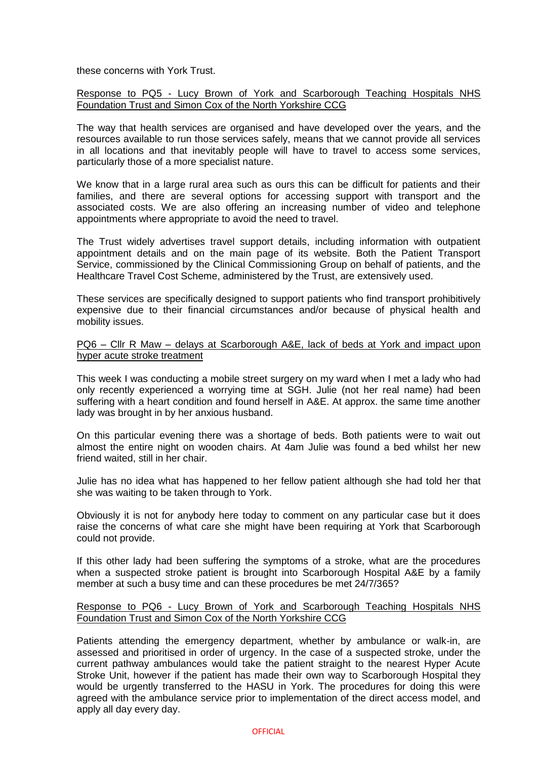these concerns with York Trust.

Response to PQ5 - Lucy Brown of York and Scarborough Teaching Hospitals NHS Foundation Trust and Simon Cox of the North Yorkshire CCG

The way that health services are organised and have developed over the years, and the resources available to run those services safely, means that we cannot provide all services in all locations and that inevitably people will have to travel to access some services, particularly those of a more specialist nature.

We know that in a large rural area such as ours this can be difficult for patients and their families, and there are several options for accessing support with transport and the associated costs. We are also offering an increasing number of video and telephone appointments where appropriate to avoid the need to travel.

The Trust widely advertises travel support details, including information with outpatient appointment details and on the main page of its website. Both the Patient Transport Service, commissioned by the Clinical Commissioning Group on behalf of patients, and the Healthcare Travel Cost Scheme, administered by the Trust, are extensively used.

These services are specifically designed to support patients who find transport prohibitively expensive due to their financial circumstances and/or because of physical health and mobility issues.

## PQ6 – Cllr R Maw – delays at Scarborough A&E, lack of beds at York and impact upon hyper acute stroke treatment

This week I was conducting a mobile street surgery on my ward when I met a lady who had only recently experienced a worrying time at SGH. Julie (not her real name) had been suffering with a heart condition and found herself in A&E. At approx. the same time another lady was brought in by her anxious husband.

On this particular evening there was a shortage of beds. Both patients were to wait out almost the entire night on wooden chairs. At 4am Julie was found a bed whilst her new friend waited, still in her chair.

Julie has no idea what has happened to her fellow patient although she had told her that she was waiting to be taken through to York.

Obviously it is not for anybody here today to comment on any particular case but it does raise the concerns of what care she might have been requiring at York that Scarborough could not provide.

If this other lady had been suffering the symptoms of a stroke, what are the procedures when a suspected stroke patient is brought into Scarborough Hospital A&E by a family member at such a busy time and can these procedures be met 24/7/365?

## Response to PQ6 - Lucy Brown of York and Scarborough Teaching Hospitals NHS Foundation Trust and Simon Cox of the North Yorkshire CCG

Patients attending the emergency department, whether by ambulance or walk-in, are assessed and prioritised in order of urgency. In the case of a suspected stroke, under the current pathway ambulances would take the patient straight to the nearest Hyper Acute Stroke Unit, however if the patient has made their own way to Scarborough Hospital they would be urgently transferred to the HASU in York. The procedures for doing this were agreed with the ambulance service prior to implementation of the direct access model, and apply all day every day.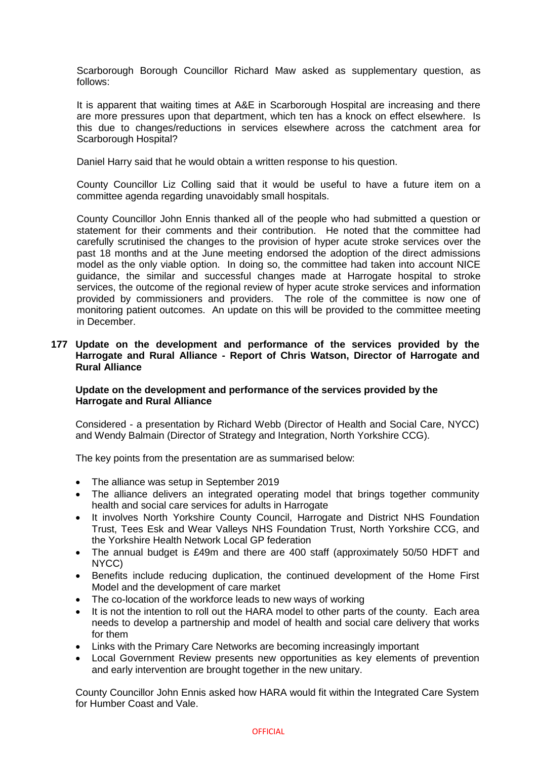Scarborough Borough Councillor Richard Maw asked as supplementary question, as follows:

It is apparent that waiting times at A&E in Scarborough Hospital are increasing and there are more pressures upon that department, which ten has a knock on effect elsewhere. Is this due to changes/reductions in services elsewhere across the catchment area for Scarborough Hospital?

Daniel Harry said that he would obtain a written response to his question.

County Councillor Liz Colling said that it would be useful to have a future item on a committee agenda regarding unavoidably small hospitals.

County Councillor John Ennis thanked all of the people who had submitted a question or statement for their comments and their contribution. He noted that the committee had carefully scrutinised the changes to the provision of hyper acute stroke services over the past 18 months and at the June meeting endorsed the adoption of the direct admissions model as the only viable option. In doing so, the committee had taken into account NICE guidance, the similar and successful changes made at Harrogate hospital to stroke services, the outcome of the regional review of hyper acute stroke services and information provided by commissioners and providers. The role of the committee is now one of monitoring patient outcomes. An update on this will be provided to the committee meeting in December.

## **177 Update on the development and performance of the services provided by the Harrogate and Rural Alliance - Report of Chris Watson, Director of Harrogate and Rural Alliance**

# **Update on the development and performance of the services provided by the Harrogate and Rural Alliance**

Considered - a presentation by Richard Webb (Director of Health and Social Care, NYCC) and Wendy Balmain (Director of Strategy and Integration, North Yorkshire CCG).

The key points from the presentation are as summarised below:

- The alliance was setup in September 2019
- The alliance delivers an integrated operating model that brings together community health and social care services for adults in Harrogate
- It involves North Yorkshire County Council, Harrogate and District NHS Foundation Trust, Tees Esk and Wear Valleys NHS Foundation Trust, North Yorkshire CCG, and the Yorkshire Health Network Local GP federation
- The annual budget is £49m and there are 400 staff (approximately 50/50 HDFT and NYCC)
- Benefits include reducing duplication, the continued development of the Home First Model and the development of care market
- The co-location of the workforce leads to new ways of working
- It is not the intention to roll out the HARA model to other parts of the county. Each area needs to develop a partnership and model of health and social care delivery that works for them
- Links with the Primary Care Networks are becoming increasingly important
- Local Government Review presents new opportunities as key elements of prevention and early intervention are brought together in the new unitary.

County Councillor John Ennis asked how HARA would fit within the Integrated Care System for Humber Coast and Vale.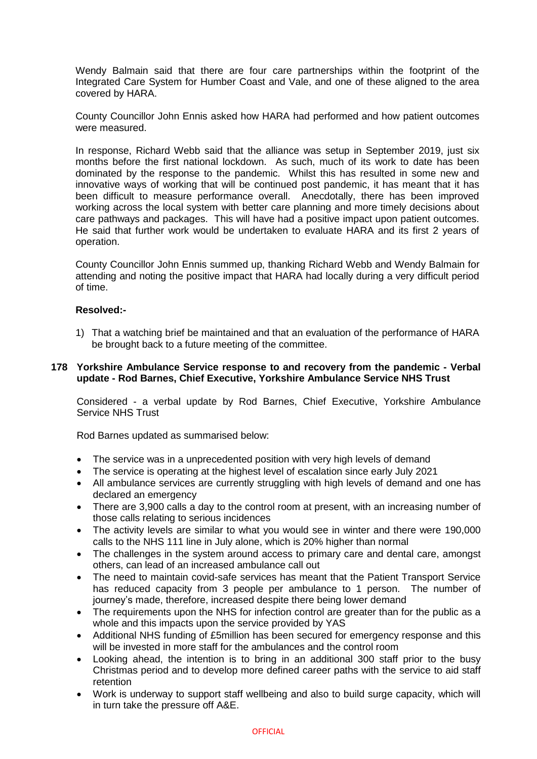Wendy Balmain said that there are four care partnerships within the footprint of the Integrated Care System for Humber Coast and Vale, and one of these aligned to the area covered by HARA.

County Councillor John Ennis asked how HARA had performed and how patient outcomes were measured.

In response, Richard Webb said that the alliance was setup in September 2019, just six months before the first national lockdown. As such, much of its work to date has been dominated by the response to the pandemic. Whilst this has resulted in some new and innovative ways of working that will be continued post pandemic, it has meant that it has been difficult to measure performance overall. Anecdotally, there has been improved working across the local system with better care planning and more timely decisions about care pathways and packages. This will have had a positive impact upon patient outcomes. He said that further work would be undertaken to evaluate HARA and its first 2 years of operation.

County Councillor John Ennis summed up, thanking Richard Webb and Wendy Balmain for attending and noting the positive impact that HARA had locally during a very difficult period of time.

## **Resolved:-**

1) That a watching brief be maintained and that an evaluation of the performance of HARA be brought back to a future meeting of the committee.

## **178 Yorkshire Ambulance Service response to and recovery from the pandemic - Verbal update - Rod Barnes, Chief Executive, Yorkshire Ambulance Service NHS Trust**

Considered - a verbal update by Rod Barnes, Chief Executive, Yorkshire Ambulance Service NHS Trust

Rod Barnes updated as summarised below:

- The service was in a unprecedented position with very high levels of demand
- The service is operating at the highest level of escalation since early July 2021
- All ambulance services are currently struggling with high levels of demand and one has declared an emergency
- There are 3,900 calls a day to the control room at present, with an increasing number of those calls relating to serious incidences
- The activity levels are similar to what you would see in winter and there were 190,000 calls to the NHS 111 line in July alone, which is 20% higher than normal
- The challenges in the system around access to primary care and dental care, amongst others, can lead of an increased ambulance call out
- The need to maintain covid-safe services has meant that the Patient Transport Service has reduced capacity from 3 people per ambulance to 1 person. The number of journey's made, therefore, increased despite there being lower demand
- The requirements upon the NHS for infection control are greater than for the public as a whole and this impacts upon the service provided by YAS
- Additional NHS funding of £5million has been secured for emergency response and this will be invested in more staff for the ambulances and the control room
- Looking ahead, the intention is to bring in an additional 300 staff prior to the busy Christmas period and to develop more defined career paths with the service to aid staff retention
- Work is underway to support staff wellbeing and also to build surge capacity, which will in turn take the pressure off A&E.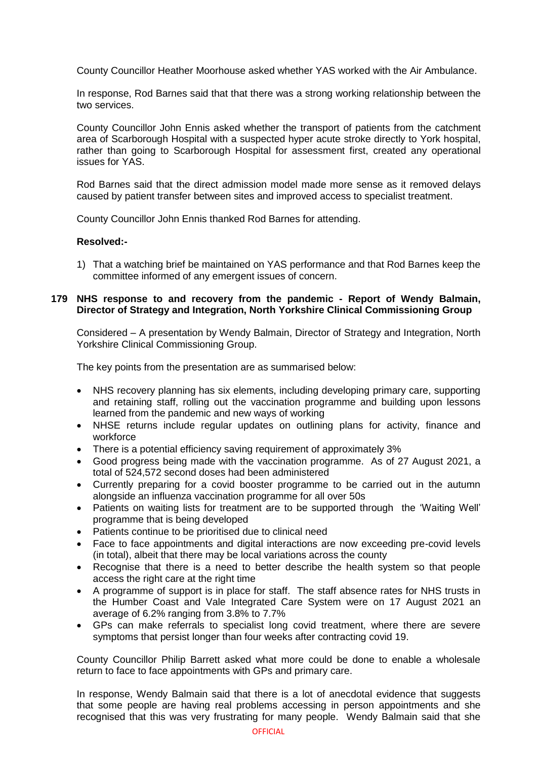County Councillor Heather Moorhouse asked whether YAS worked with the Air Ambulance.

In response, Rod Barnes said that that there was a strong working relationship between the two services.

County Councillor John Ennis asked whether the transport of patients from the catchment area of Scarborough Hospital with a suspected hyper acute stroke directly to York hospital, rather than going to Scarborough Hospital for assessment first, created any operational issues for YAS.

Rod Barnes said that the direct admission model made more sense as it removed delays caused by patient transfer between sites and improved access to specialist treatment.

County Councillor John Ennis thanked Rod Barnes for attending.

## **Resolved:-**

1) That a watching brief be maintained on YAS performance and that Rod Barnes keep the committee informed of any emergent issues of concern.

## **179 NHS response to and recovery from the pandemic - Report of Wendy Balmain, Director of Strategy and Integration, North Yorkshire Clinical Commissioning Group**

Considered – A presentation by Wendy Balmain, Director of Strategy and Integration, North Yorkshire Clinical Commissioning Group.

The key points from the presentation are as summarised below:

- NHS recovery planning has six elements, including developing primary care, supporting and retaining staff, rolling out the vaccination programme and building upon lessons learned from the pandemic and new ways of working
- NHSE returns include regular updates on outlining plans for activity, finance and workforce
- There is a potential efficiency saving requirement of approximately 3%
- Good progress being made with the vaccination programme. As of 27 August 2021, a total of 524,572 second doses had been administered
- Currently preparing for a covid booster programme to be carried out in the autumn alongside an influenza vaccination programme for all over 50s
- Patients on waiting lists for treatment are to be supported through the 'Waiting Well' programme that is being developed
- Patients continue to be prioritised due to clinical need
- Face to face appointments and digital interactions are now exceeding pre-covid levels (in total), albeit that there may be local variations across the county
- Recognise that there is a need to better describe the health system so that people access the right care at the right time
- A programme of support is in place for staff. The staff absence rates for NHS trusts in the Humber Coast and Vale Integrated Care System were on 17 August 2021 an average of 6.2% ranging from 3.8% to 7.7%
- GPs can make referrals to specialist long covid treatment, where there are severe symptoms that persist longer than four weeks after contracting covid 19.

County Councillor Philip Barrett asked what more could be done to enable a wholesale return to face to face appointments with GPs and primary care.

In response, Wendy Balmain said that there is a lot of anecdotal evidence that suggests that some people are having real problems accessing in person appointments and she recognised that this was very frustrating for many people. Wendy Balmain said that she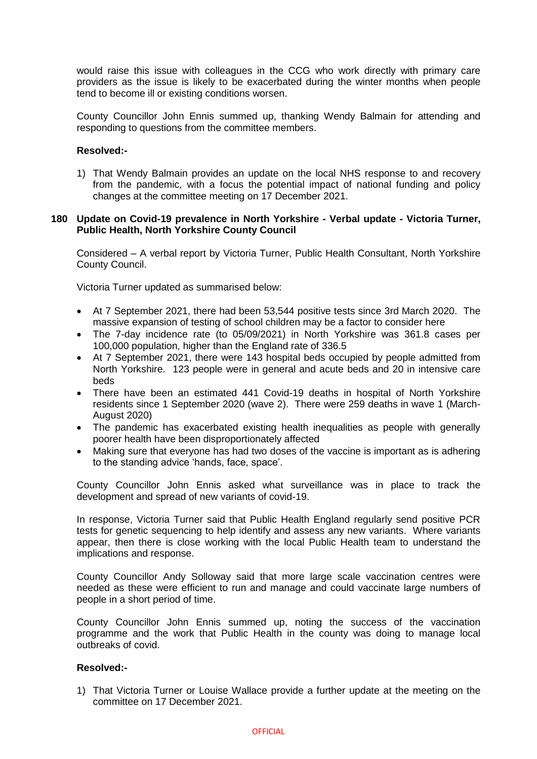would raise this issue with colleagues in the CCG who work directly with primary care providers as the issue is likely to be exacerbated during the winter months when people tend to become ill or existing conditions worsen.

County Councillor John Ennis summed up, thanking Wendy Balmain for attending and responding to questions from the committee members.

## **Resolved:-**

1) That Wendy Balmain provides an update on the local NHS response to and recovery from the pandemic, with a focus the potential impact of national funding and policy changes at the committee meeting on 17 December 2021.

## **180 Update on Covid-19 prevalence in North Yorkshire - Verbal update - Victoria Turner, Public Health, North Yorkshire County Council**

Considered – A verbal report by Victoria Turner, Public Health Consultant, North Yorkshire County Council.

Victoria Turner updated as summarised below:

- At 7 September 2021, there had been 53,544 positive tests since 3rd March 2020. The massive expansion of testing of school children may be a factor to consider here
- The 7-day incidence rate (to 05/09/2021) in North Yorkshire was 361.8 cases per 100,000 population, higher than the England rate of 336.5
- At 7 September 2021, there were 143 hospital beds occupied by people admitted from North Yorkshire. 123 people were in general and acute beds and 20 in intensive care beds
- There have been an estimated 441 Covid-19 deaths in hospital of North Yorkshire residents since 1 September 2020 (wave 2). There were 259 deaths in wave 1 (March-August 2020)
- The pandemic has exacerbated existing health inequalities as people with generally poorer health have been disproportionately affected
- Making sure that everyone has had two doses of the vaccine is important as is adhering to the standing advice 'hands, face, space'.

County Councillor John Ennis asked what surveillance was in place to track the development and spread of new variants of covid-19.

In response, Victoria Turner said that Public Health England regularly send positive PCR tests for genetic sequencing to help identify and assess any new variants. Where variants appear, then there is close working with the local Public Health team to understand the implications and response.

County Councillor Andy Solloway said that more large scale vaccination centres were needed as these were efficient to run and manage and could vaccinate large numbers of people in a short period of time.

County Councillor John Ennis summed up, noting the success of the vaccination programme and the work that Public Health in the county was doing to manage local outbreaks of covid.

## **Resolved:-**

1) That Victoria Turner or Louise Wallace provide a further update at the meeting on the committee on 17 December 2021.